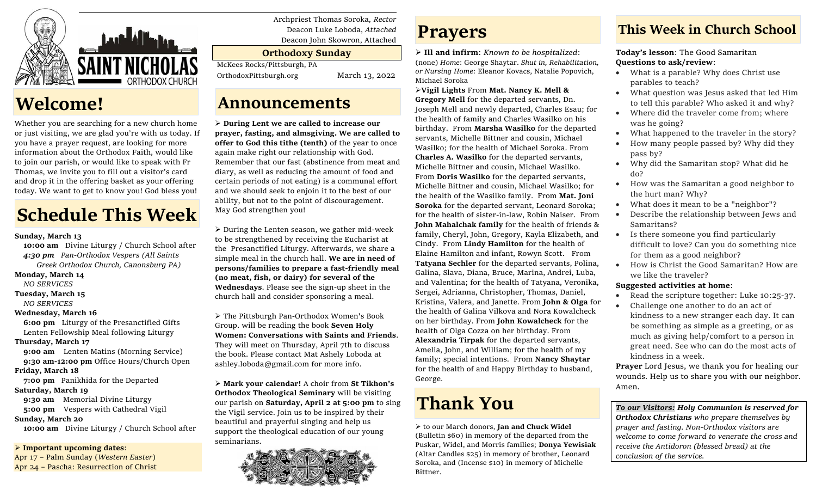

### **Welcome!**

Whether you are searching for a new church home or just visiting, we are glad you're with us today. If you have a prayer request, are looking for more information about the Orthodox Faith, would like to join our parish, or would like to speak with Fr Thomas, we invite you to fill out a visitor's card and drop it in the offering basket as your offering today. We want to get to know you! God bless you!

# **Schedule This Week**

#### **Sunday, March 13**

 **10:00 am** Divine Liturgy / Church School after  *4:30 pm Pan-Orthodox Vespers (All Saints Greek Orthodox Church, Canonsburg PA)*

### **Monday, March 14**

*NO SERVICES*

### **Tuesday, March 15**

 *NO SERVICES*

### **Wednesday, March 16**

 **6:00 pm** Liturgy of the Presanctified Gifts Lenten Fellowship Meal following Liturgy

### **Thursday, March 17**

**9:00 am** Lenten Matins (Morning Service) **9:30 am-12:00 pm** Office Hours/Church Open

### **Friday, March 18**

**7:00 pm** Panikhida for the Departed

### **Saturday, March 19**

 **9:30 am** Memorial Divine Liturgy **5:00 pm** Vespers with Cathedral Vigil

### **Sunday, March 20**

 **10:00 am** Divine Liturgy / Church School after

➢ **Important upcoming dates**:

Apr 17 – Palm Sunday (*Western Easter*) Apr 24 – Pascha: Resurrection of Christ Archpriest Thomas Soroka, *Rector* Deacon Luke Loboda, *Attached* Deacon John Skowron, Attached

### **Orthodoxy Sunday**

McKees Rocks/Pittsburgh, PA

OrthodoxPittsburgh.org March 13, 2022

### **Announcements**

➢ **During Lent we are called to increase our prayer, fasting, and almsgiving. We are called to offer to God this tithe (tenth)** of the year to once again make right our relationship with God. Remember that our fast (abstinence from meat and diary, as well as reducing the amount of food and certain periods of not eating) is a communal effort and we should seek to enjoin it to the best of our ability, but not to the point of discouragement. May God strengthen you!

 $\triangleright$  During the Lenten season, we gather mid-week to be strengthened by receiving the Eucharist at the Presanctified Liturgy. Afterwards, we share a simple meal in the church hall. **We are in need of persons/families to prepare a fast-friendly meal (no meat, fish, or dairy) for several of the Wednesdays**. Please see the sign-up sheet in the church hall and consider sponsoring a meal.

➢ The Pittsburgh Pan-Orthodox Women's Book Group. will be reading the book **Seven Holy Women: Conversations with Saints and Friends**. They will meet on Thursday, April 7th to discuss the book. Please contact Mat Ashely Loboda at ashley.loboda@gmail.com for more info.

➢ **Mark your calendar!** A choir from **St Tikhon's Orthodox Theological Seminary** will be visiting our parish on **Saturday, April 2 at 5:00 pm** to sing the Vigil service. Join us to be inspired by their beautiful and prayerful singing and help us support the theological education of our young seminarians.



## **Prayers**

➢ **Ill and infirm**: *Known to be hospitalized*: (none) *Home*: George Shaytar. *Shut in, Rehabilitation, or Nursing Home*: Eleanor Kovacs, Natalie Popovich, Michael Soroka

### ➢**Vigil Lights** From **Mat. Nancy K. Mell &**

**Gregory Mell** for the departed servants, Dn. Joseph Mell and newly departed, Charles Esau; for the health of family and Charles Wasilko on his birthday. From **Marsha Wasilko** for the departed servants, Michelle Bittner and cousin, Michael Wasilko; for the health of Michael Soroka. From **Charles A. Wasilko** for the departed servants, Michelle Bittner and cousin, Michael Wasilko. From **Doris Wasilko** for the departed servants, Michelle Bittner and cousin, Michael Wasilko; for the health of the Wasilko family. From **Mat. Joni Soroka** for the departed servant, Leonard Soroka; for the health of sister-in-law, Robin Naiser. From **John Mahalchak family** for the health of friends & family, Cheryl, John, Gregory, Kayla Elizabeth, and Cindy. From **Lindy Hamilton** for the health of Elaine Hamilton and infant, Rowyn Scott. From **Tatyana Sechler** for the departed servants, Polina, Galina, Slava, Diana, Bruce, Marina, Andrei, Luba, and Valentina; for the health of Tatyana, Veronika, Sergei, Adrianna, Christopher, Thomas, Daniel, Kristina, Valera, and Janette. From **John & Olga** for the health of Galina Vilkova and Nora Kowalcheck on her birthday. From **John Kowalcheck** for the health of Olga Cozza on her birthday. From **Alexandria Tirpak** for the departed servants, Amelia, John, and William; for the health of my family; special intentions. From **Nancy Shaytar**  for the health of and Happy Birthday to husband, George.

# **Thank You**

➢ to our March donors, **Jan and Chuck Widel** (Bulletin \$60) in memory of the departed from the Puskar, Widel, and Morris families; **Donya Yewisiak** (Altar Candles \$25) in memory of brother, Leonard Soroka, and (Incense \$10) in memory of Michelle Bittner.

### **This Week in Church School**

**Today's lesson**: The Good Samaritan **Questions to ask/review**:

- What is a parable? Why does Christ use parables to teach?
- What question was Jesus asked that led Him to tell this parable? Who asked it and why?
- Where did the traveler come from; where was he going?
- What happened to the traveler in the story?
- How many people passed by? Why did they pass by?
- Why did the Samaritan stop? What did he do?
- How was the Samaritan a good neighbor to the hurt man? Why?
- What does it mean to be a "neighbor"?
- Describe the relationship between Jews and Samaritans?
- Is there someone you find particularly difficult to love? Can you do something nice for them as a good neighbor?
- How is Christ the Good Samaritan? How are we like the traveler?

### **Suggested activities at home**:

- Read the scripture together: Luke 10:25-37.
- Challenge one another to do an act of kindness to a new stranger each day. It can be something as simple as a greeting, or as much as giving help/comfort to a person in great need. See who can do the most acts of kindness in a week.

**Prayer** Lord Jesus, we thank you for healing our wounds. Help us to share you with our neighbor. Amen.

*To our Visitors: Holy Communion is reserved for Orthodox Christians who prepare themselves by prayer and fasting. Non-Orthodox visitors are welcome to come forward to venerate the cross and receive the Antidoron (blessed bread) at the conclusion of the service.*